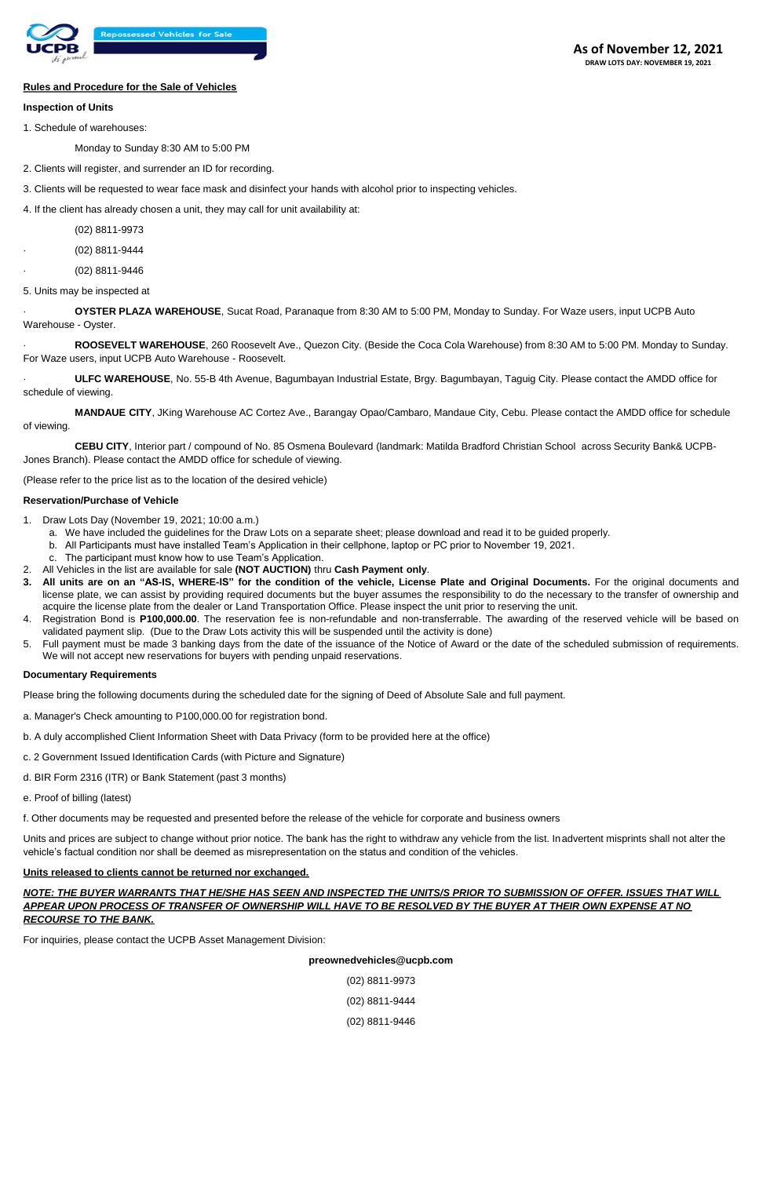

## **Rules and Procedure for the Sale of Vehicles**

#### **Inspection of Units**

1. Schedule of warehouses:

Monday to Sunday 8:30 AM to 5:00 PM

- 2. Clients will register, and surrender an ID for recording.
- 3. Clients will be requested to wear face mask and disinfect your hands with alcohol prior to inspecting vehicles.

4. If the client has already chosen a unit, they may call for unit availability at:

(02) 8811-9973

· (02) 8811-9444

· (02) 8811-9446

5. Units may be inspected at

· **OYSTER PLAZA WAREHOUSE**, Sucat Road, Paranaque from 8:30 AM to 5:00 PM, Monday to Sunday. For Waze users, input UCPB Auto Warehouse - Oyster.

· **ROOSEVELT WAREHOUSE**, 260 Roosevelt Ave., Quezon City. (Beside the Coca Cola Warehouse) from 8:30 AM to 5:00 PM. Monday to Sunday. For Waze users, input UCPB Auto Warehouse - Roosevelt.

· **ULFC WAREHOUSE**, No. 55-B 4th Avenue, Bagumbayan Industrial Estate, Brgy. Bagumbayan, Taguig City. Please contact the AMDD office for schedule of viewing.

**MANDAUE CITY**, JKing Warehouse AC Cortez Ave., Barangay Opao/Cambaro, Mandaue City, Cebu. Please contact the AMDD office for schedule of viewing.

**CEBU CITY**, Interior part / compound of No. 85 Osmena Boulevard (landmark: Matilda Bradford Christian School across Security Bank& UCPB-Jones Branch). Please contact the AMDD office for schedule of viewing.

(Please refer to the price list as to the location of the desired vehicle)

#### **Reservation/Purchase of Vehicle**

- 1. Draw Lots Day (November 19, 2021; 10:00 a.m.)
	- a. We have included the guidelines for the Draw Lots on a separate sheet; please download and read it to be guided properly.
	- b. All Participants must have installed Team's Application in their cellphone, laptop or PC prior to November 19, 2021.
	- c. The participant must know how to use Team's Application.
- 2. All Vehicles in the list are available for sale **(NOT AUCTION)** thru **Cash Payment only**.
- All units are on an "AS-IS, WHERE-IS" for the condition of the vehicle, License Plate and Original Documents. For the original documents and license plate, we can assist by providing required documents but the buyer assumes the responsibility to do the necessary to the transfer of ownership and acquire the license plate from the dealer or Land Transportation Office. Please inspect the unit prior to reserving the unit.
- 4. Registration Bond is **P100,000.00**. The reservation fee is non-refundable and non-transferrable. The awarding of the reserved vehicle will be based on validated payment slip. (Due to the Draw Lots activity this will be suspended until the activity is done)
- 5. Full payment must be made 3 banking days from the date of the issuance of the Notice of Award or the date of the scheduled submission of requirements. We will not accept new reservations for buyers with pending unpaid reservations.

## **Documentary Requirements**

Please bring the following documents during the scheduled date for the signing of Deed of Absolute Sale and full payment.

- a. Manager's Check amounting to P100,000.00 for registration bond.
- b. A duly accomplished Client Information Sheet with Data Privacy (form to be provided here at the office)
- c. 2 Government Issued Identification Cards (with Picture and Signature)
- d. BIR Form 2316 (ITR) or Bank Statement (past 3 months)
- e. Proof of billing (latest)
- f. Other documents may be requested and presented before the release of the vehicle for corporate and business owners

Units and prices are subject to change without prior notice. The bank has the right to withdraw any vehicle from the list. Inadvertent misprints shall not alter the vehicle's factual condition nor shall be deemed as misrepresentation on the status and condition of the vehicles.

#### **Units released to clients cannot be returned nor exchanged.**

*NOTE: THE BUYER WARRANTS THAT HE/SHE HAS SEEN AND INSPECTED THE UNITS/S PRIOR TO SUBMISSION OF OFFER. ISSUES THAT WILL APPEAR UPON PROCESS OF TRANSFER OF OWNERSHIP WILL HAVE TO BE RESOLVED BY THE BUYER AT THEIR OWN EXPENSE AT NO RECOURSE TO THE BANK.* 

For inquiries, please contact the UCPB Asset Management Division:

**preownedvehicles@ucpb.com** 

(02) 8811-9973

(02) 8811-9444

(02) 8811-9446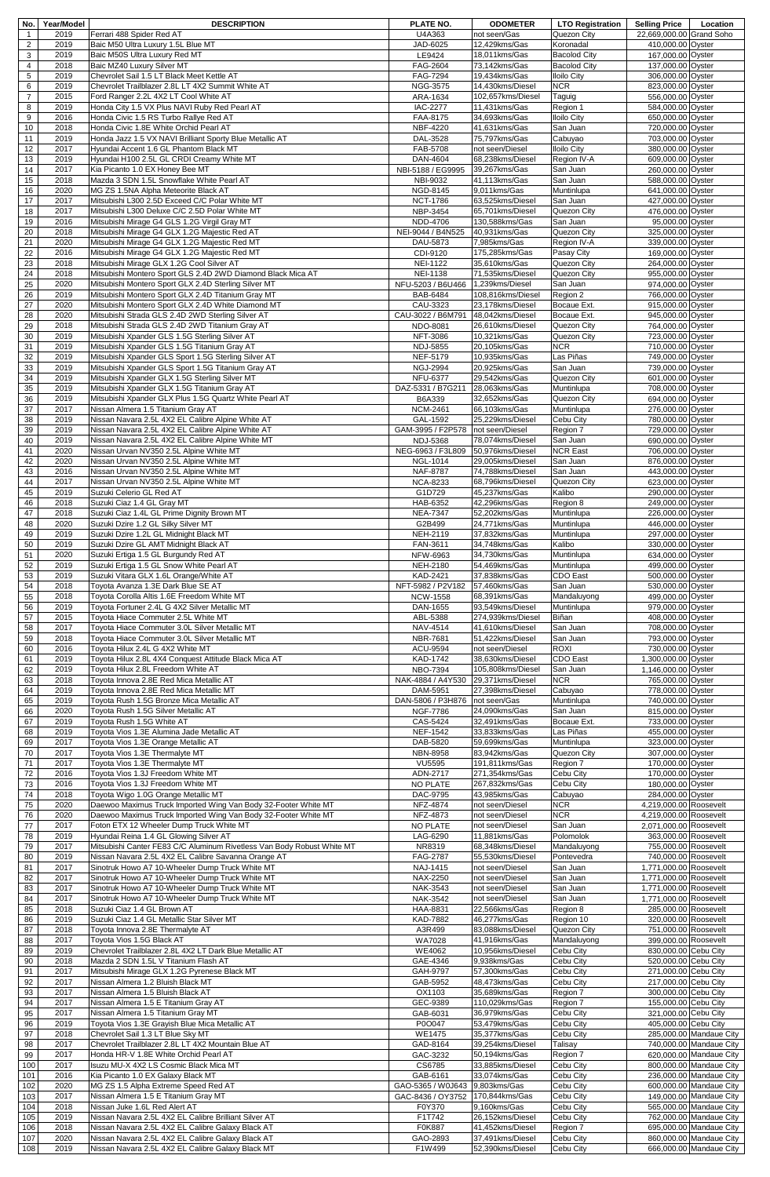| No.                   | Year/Model   | <b>DESCRIPTION</b>                                                                                   | PLATE NO.                                          | <b>ODOMETER</b>                      | <b>LTO Registration</b>                    | <b>Selling Price</b>                           | Location                                           |
|-----------------------|--------------|------------------------------------------------------------------------------------------------------|----------------------------------------------------|--------------------------------------|--------------------------------------------|------------------------------------------------|----------------------------------------------------|
| $\mathbf{1}$          | 2019         | Ferrari 488 Spider Red AT                                                                            | U4A363                                             | not seen/Gas                         | Quezon City                                | 22,669,000.00 Grand Soho                       |                                                    |
| $\overline{2}$        | 2019         | Baic M50 Ultra Luxury 1.5L Blue MT                                                                   | JAD-6025                                           | 12,429kms/Gas                        | Koronadal                                  | 410,000.00 Oyster                              |                                                    |
| 3<br>4                | 2019<br>2018 | Baic M50S Ultra Luxury Red MT<br>Baic MZ40 Luxury Silver MT                                          | LE9424<br><b>FAG-2604</b>                          | 18,011kms/Gas<br>73,142kms/Gas       | <b>Bacolod City</b><br><b>Bacolod City</b> | 167,000.00 Oyster<br>137,000.00 Oyster         |                                                    |
| 5                     | 2019         | Chevrolet Sail 1.5 LT Black Meet Kettle AT                                                           | FAG-7294                                           | 19,434kms/Gas                        | <b>Iloilo City</b>                         | 306,000.00 Oyster                              |                                                    |
| 6                     | 2019         | Chevrolet Trailblazer 2.8L LT 4X2 Summit White AT                                                    | NGG-3575                                           | 14,430kms/Diesel                     | <b>NCR</b>                                 | 823,000.00 Oyster                              |                                                    |
| $\overline{7}$        | 2015         | Ford Ranger 2.2L 4X2 LT Cool White AT                                                                | ARA-1634                                           | 102,657kms/Diesel                    | Taguig                                     | 556,000.00 Oyster                              |                                                    |
| 8                     | 2019<br>2016 | Honda City 1.5 VX Plus NAVI Ruby Red Pearl AT                                                        | <b>IAC-2277</b>                                    | 11,431kms/Gas                        | Region 1                                   | 584,000.00 Oyster                              |                                                    |
| 9<br>10               | 2018         | Honda Civic 1.5 RS Turbo Rallye Red AT<br>Honda Civic 1.8E White Orchid Pearl AT                     | FAA-8175<br>NBF-4220                               | 34,693kms/Gas<br>41,631kms/Gas       | <b>Iloilo City</b><br>San Juan             | 650,000.00 Oyster<br>720,000.00 Oyster         |                                                    |
| 11                    | 2019         | Honda Jazz 1.5 VX NAVI Brilliant Sporty Blue Metallic AT                                             | DAL-3528                                           | 75,797kms/Gas                        | Cabuyao                                    | 703,000.00 Oyster                              |                                                    |
| 12                    | 2017         | Hyundai Accent 1.6 GL Phantom Black MT                                                               | FAB-5708                                           | not seen/Diesel                      | <b>Iloilo City</b>                         | 380,000.00 Oyster                              |                                                    |
| 13                    | 2019         | Hyundai H100 2.5L GL CRDI Creamy White MT                                                            | DAN-4604                                           | 68,238kms/Diesel                     | Region IV-A                                | 609,000.00 Oyster                              |                                                    |
| 14                    | 2017         | Kia Picanto 1.0 EX Honey Bee MT                                                                      | NBI-5188 / EG9995                                  | 39,267kms/Gas                        | San Juan                                   | 260,000.00 Oyster                              |                                                    |
| 15<br>16              | 2018<br>2020 | Mazda 3 SDN 1.5L Snowflake White Pearl AT<br>MG ZS 1.5NA Alpha Meteorite Black AT                    | NBI-9032<br>NGD-8145                               | 41,113kms/Gas<br>9,011kms/Gas        | San Juan<br>Muntinlupa                     | 588,000.00 Oyster<br>641,000.00 Oyster         |                                                    |
| 17                    | 2017         | Mitsubishi L300 2.5D Exceed C/C Polar White MT                                                       | <b>NCT-1786</b>                                    | 63,525kms/Diesel                     | San Juan                                   | 427,000.00 Oyster                              |                                                    |
| 18                    | 2017         | Mitsubishi L300 Deluxe C/C 2.5D Polar White MT                                                       | NBP-3454                                           | 65,701kms/Diesel                     | Quezon City                                | 476,000.00 Oyster                              |                                                    |
| $19$                  | 2016         | Mitsubishi Mirage G4 GLS 1.2G Virgil Gray MT                                                         | <b>NDD-4706</b>                                    | 130,588kms/Gas                       | San Juan                                   | 95,000.00 Oyster                               |                                                    |
| 20                    | 2018         | Mitsubishi Mirage G4 GLX 1.2G Majestic Red AT                                                        | NEI-9044 / B4N525                                  | 40,931kms/Gas                        | Quezon City                                | 325,000.00 Oyster                              |                                                    |
| 21                    | 2020<br>2016 | Mitsubishi Mirage G4 GLX 1.2G Majestic Red MT                                                        | DAU-5873                                           | 7,985kms/Gas                         | Region IV-A                                | 339,000.00 Oyster                              |                                                    |
| $\overline{22}$<br>23 | 2018         | Mitsubishi Mirage G4 GLX 1.2G Majestic Red MT<br>Mitsubishi Mirage GLX 1.2G Cool Silver AT           | CDI-9120<br><b>NEI-1122</b>                        | 175,285kms/Gas<br>35.610kms/Gas      | Pasay City<br>Quezon City                  | 169,000.00 Oyster<br>264,000.00 Oyster         |                                                    |
| 24                    | 2018         | Mitsubishi Montero Sport GLS 2.4D 2WD Diamond Black Mica AT                                          | <b>NEI-1138</b>                                    | 71,535kms/Diesel                     | Quezon City                                | 955,000.00 Oyster                              |                                                    |
| 25                    | 2020         | Mitsubishi Montero Sport GLX 2.4D Sterling Silver MT                                                 | NFU-5203 / B6U466                                  | 1,239kms/Diesel                      | San Juan                                   | 974,000.00 Oyster                              |                                                    |
| 26                    | 2019         | Mitsubishi Montero Sport GLX 2.4D Titanium Gray MT                                                   | BAB-6484                                           | 108,816kms/Diesel                    | Region 2                                   | 766,000.00 Oyster                              |                                                    |
| $\overline{27}$       | 2020         | Mitsubishi Montero Sport GLX 2.4D White Diamond MT                                                   | CAU-3323                                           | 23,178kms/Diesel                     | Bocaue Ext.                                | 915,000.00 Oyster                              |                                                    |
| 28<br>29              | 2020<br>2018 | Mitsubishi Strada GLS 2.4D 2WD Sterling Silver AT<br>Mitsubishi Strada GLS 2.4D 2WD Titanium Gray AT | CAU-3022 / B6M791<br>NDO-8081                      | 48,042kms/Diesel<br>26,610kms/Diesel | Bocaue Ext.<br>Quezon City                 | 945,000.00 Oyster<br>764,000.00 Oyster         |                                                    |
| 30                    | 2019         | Mitsubishi Xpander GLS 1.5G Sterling Silver AT                                                       | NFT-3086                                           | 10,321kms/Gas                        | Quezon City                                | 723,000.00 Oyster                              |                                                    |
| 31                    | 2019         | Mitsubishi Xpander GLS 1.5G Titanium Gray AT                                                         | <b>NDJ-5855</b>                                    | $\overline{20}$ , 105 kms/Gas        | <b>NCR</b>                                 | 710,000.00 Oyster                              |                                                    |
| 32                    | 2019         | Mitsubishi Xpander GLS Sport 1.5G Sterling Silver AT                                                 | NEF-5179                                           | 10,935kms/Gas                        | Las Piñas                                  | 749,000.00 Oyster                              |                                                    |
| 33                    | 2019         | Mitsubishi Xpander GLS Sport 1.5G Titanium Gray AT                                                   | <b>NGJ-2994</b>                                    | 20,925kms/Gas                        | San Juan                                   | 739,000.00 Oyster                              |                                                    |
| 34<br>35              | 2019<br>2019 | Mitsubishi Xpander GLX 1.5G Sterling Silver MT<br>Mitsubishi Xpander GLX 1.5G Titanium Gray AT       | <b>NFU-6377</b><br>DAZ-5331 / B7G211               | 29,542kms/Gas<br>28,063kms/Gas       | Quezon City<br>Muntinlupa                  | 601,000.00 Oyster<br>708,000.00 Oyster         |                                                    |
| 36                    | 2019         | Mitsubishi Xpander GLX Plus 1.5G Quartz White Pearl AT                                               | B6A339                                             | 32,652kms/Gas                        | Quezon City                                | 694,000.00 Oyster                              |                                                    |
| 37                    | 2017         | Nissan Almera 1.5 Titanium Gray AT                                                                   | <b>NCM-2461</b>                                    | 66,103kms/Gas                        | Muntinlupa                                 | 276,000.00 Oyster                              |                                                    |
| 38                    | 2019         | Nissan Navara 2.5L 4X2 EL Calibre Alpine White AT                                                    | GAL-1592                                           | 25,229kms/Diesel                     | Cebu City                                  | 780,000.00 Oyster                              |                                                    |
| 39                    | 2019         | Nissan Navara 2.5L 4X2 EL Calibre Alpine White AT                                                    | GAM-3995 / F2P578                                  | not seen/Diesel                      | Region 7                                   | 729,000.00 Oyster                              |                                                    |
| 40<br>41              | 2019<br>2020 | Nissan Navara 2.5L 4X2 EL Calibre Alpine White MT                                                    | <b>NDJ-5368</b><br>NEG-6963 / F3L809               | 78,074kms/Diesel<br>50,976kms/Diesel | San Juan<br><b>NCR East</b>                | 690,000.00 Oyster<br>706,000.00 Oyster         |                                                    |
| 42                    | 2020         | Nissan Urvan NV350 2.5L Alpine White MT<br>Nissan Urvan NV350 2.5L Alpine White MT                   | NGL-1014                                           | 29,005kms/Diesel                     | San Juan                                   | 876,000.00 Oyster                              |                                                    |
| 43                    | 2016         | Nissan Urvan NV350 2.5L Alpine White MT                                                              | NAF-8787                                           | 74,788kms/Diesel                     | San Juan                                   | 443,000.00 Oyster                              |                                                    |
| 44                    | 2017         | Nissan Urvan NV350 2.5L Alpine White MT                                                              | <b>NCA-8233</b>                                    | 68,796kms/Diesel                     | Quezon City                                | 623,000.00 Oyster                              |                                                    |
| 45                    | 2019         | Suzuki Celerio GL Red AT                                                                             | G1D729                                             | 45,237kms/Gas                        | Kalibo                                     | 290,000.00 Oyster                              |                                                    |
| 46                    | 2018         | Suzuki Ciaz 1.4 GL Gray MT                                                                           | HAB-6352                                           | 42,296kms/Gas                        | Region 8                                   | 249,000.00 Oyster                              |                                                    |
| 47<br>48              | 2018<br>2020 | Suzuki Ciaz 1.4L GL Prime Dignity Brown MT<br>Suzuki Dzire 1.2 GL Silky Silver MT                    | <b>NEA-7347</b><br>G2B499                          | 52,202kms/Gas<br>$24,771$ kms/Gas    | Muntinlupa<br>Muntinlupa                   | 226,000.00 Oyster                              |                                                    |
| 49                    | 2019         | Suzuki Dzire 1.2L GL Midnight Black MT                                                               | NEH-2119                                           | 37,832kms/Gas                        | Muntinlupa                                 | 446,000.00 Oyster<br>297,000.00 Oyster         |                                                    |
| 50                    | 2019         | Suzuki Dzire GL AMT Midnight Black AT                                                                | FAN-3611                                           | 34,748kms/Gas                        | Kalibo                                     | 330,000.00 Oyster                              |                                                    |
| 51                    | 2020         | Suzuki Ertiga 1.5 GL Burgundy Red AT                                                                 | NFW-6963                                           | 34,730kms/Gas                        | Muntinlupa                                 | 634,000.00 Oyster                              |                                                    |
| 52                    | 2019         | Suzuki Ertiga 1.5 GL Snow White Pearl AT                                                             | <b>NEH-2180</b>                                    | 54,469kms/Gas                        | Muntinlupa                                 | 499,000.00 Oyster                              |                                                    |
| 53                    | 2019         | Suzuki Vitara GLX 1.6L Orange/White AT                                                               | KAD-2421                                           | 37,838kms/Gas                        | <b>CDO East</b>                            | 500,000.00 Oyster                              |                                                    |
| 54<br>55              | 2018<br>2018 | Toyota Avanza 1.3E Dark Blue SE AT<br>Toyota Corolla Altis 1.6E Freedom White MT                     | NFT-5982 / P2V182 57,460kms/Gas<br><b>NCW-1558</b> | 68,391kms/Gas                        | San Juan<br>Mandaluyong                    | 530,000.00 Oyster<br>499,000.00 Oyster         |                                                    |
| 56                    | 2019         | Tovota Fortuner 2.4L G 4X2 Silver Metallic MT                                                        | DAN-1655                                           | 93,549kms/Diesel                     | Muntinlupa                                 | 979,000.00 Oyster                              |                                                    |
| 57                    | 2015         | Toyota Hiace Commuter 2.5L White MT                                                                  | ABL-5388                                           | 274,939kms/Diesel                    | Biñan                                      | 408,000.00 Oyster                              |                                                    |
| 58                    | 2017         | Toyota Hiace Commuter 3.0L Silver Metallic MT                                                        | NAV-4514                                           | 41,610kms/Diesel                     | San Juan                                   | 708,000.00 Oyster                              |                                                    |
| 59                    | 2018         | Toyota Hiace Commuter 3.0L Silver Metallic MT                                                        | NBR-7681                                           | 51,422kms/Diesel                     | San Juan                                   | 793,000.00 Oyster                              |                                                    |
| 60<br>61              | 2016<br>2019 | Toyota Hilux 2.4L G 4X2 White MT<br>Toyota Hilux 2.8L 4X4 Conquest Attitude Black Mica AT            | ACU-9594<br><b>KAD-1742</b>                        | not seen/Diesel<br>38.630kms/Diesel  | <b>ROXI</b><br><b>CDO</b> East             | 730,000.00 Oyster<br>1,300,000.00 Oyster       |                                                    |
| 62                    | 2019         | Toyota Hilux 2.8L Freedom White AT                                                                   | <b>NBO-7394</b>                                    | 105,808kms/Diesel                    | San Juan                                   | 1,146,000.00 Oyster                            |                                                    |
| 63                    | 2018         | Toyota Innova 2.8E Red Mica Metallic AT                                                              | NAK-4884 / A4Y530                                  | 29,371kms/Diesel                     | <b>NCR</b>                                 | 765,000.00 Oyster                              |                                                    |
| 64                    | 2019         | Toyota Innova 2.8E Red Mica Metallic MT                                                              | DAM-5951                                           | 27,398kms/Diesel                     | Cabuyao                                    | 778,000.00 Oyster                              |                                                    |
| 65<br>66              | 2019         | Toyota Rush 1.5G Bronze Mica Metallic AT                                                             | DAN-5806 / P3H876                                  | not seen/Gas                         | Muntinlupa                                 | 740,000.00 Oyster                              |                                                    |
| 67                    | 2020<br>2019 | Toyota Rush 1.5G Silver Metallic AT<br>Toyota Rush 1.5G White AT                                     | <b>NGF-7786</b><br>CAS-5424                        | 24,090kms/Gas<br>32,491kms/Gas       | San Juan<br>Bocaue Ext.                    | 815,000.00 Oyster<br>733,000.00 Oyster         |                                                    |
| 68                    | 2019         | Toyota Vios 1.3E Alumina Jade Metallic AT                                                            | <b>NEF-1542</b>                                    | 33,833kms/Gas                        | Las Piñas                                  | 455,000.00 Oyster                              |                                                    |
| 69                    | 2017         | Toyota Vios 1.3E Orange Metallic AT                                                                  | DAB-5820                                           | 59,699kms/Gas                        | Muntinlupa                                 | 323,000.00 Oyster                              |                                                    |
| 70                    | 2017         | Toyota Vios 1.3E Thermalyte MT                                                                       | <b>NBN-8958</b>                                    | 83,942kms/Gas                        | Quezon City                                | 307,000.00 Oyster                              |                                                    |
| 71                    | 2017         | Toyota Vios 1.3E Thermalyte MT                                                                       | <b>VU5595</b>                                      | 191,811kms/Gas                       | Region 7                                   | 170,000.00 Oyster                              |                                                    |
| $\overline{72}$<br>73 | 2016<br>2016 | Toyota Vios 1.3J Freedom White MT<br>Toyota Vios 1.3J Freedom White MT                               | ADN-2717<br>NO PLATE                               | 271,354kms/Gas<br>267,832kms/Gas     | Cebu City<br>Cebu City                     | 170,000.00 Oyster<br>180,000.00 Oyster         |                                                    |
| 74                    | 2018         | Toyota Wigo 1.0G Orange Metallic MT                                                                  | DAC-9795                                           | 43,985kms/Gas                        | Cabuyao                                    | 284,000.00 Oyster                              |                                                    |
| 75                    | 2020         | Daewoo Maximus Truck Imported Wing Van Body 32-Footer White MT                                       | NFZ-4874                                           | not seen/Diesel                      | <b>NCR</b>                                 | 4,219,000.00 Roosevelt                         |                                                    |
| 76                    | 2020         | Daewoo Maximus Truck Imported Wing Van Body 32-Footer White MT                                       | NFZ-4873                                           | not seen/Diesel                      | <b>NCR</b>                                 | 4,219,000.00 Roosevelt                         |                                                    |
| $\overline{77}$<br>78 | 2017<br>2019 | Foton ETX 12 Wheeler Dump Truck White MT<br>Hyundai Reina 1.4 GL Glowing Silver AT                   | <b>NO PLATE</b><br>LAG-6290                        | not seen/Diesel<br>11,881kms/Gas     | San Juan<br>Polomolok                      | 2,071,000.00 Roosevelt<br>363,000.00 Roosevelt |                                                    |
| 79                    | 2017         | Mitsubishi Canter FE83 C/C Aluminum Rivetless Van Body Robust White MT                               | NR8319                                             | 68,348kms/Diesel                     | Mandaluyong                                | 755,000.00 Roosevelt                           |                                                    |
| 80                    | 2019         | Nissan Navara 2.5L 4X2 EL Calibre Savanna Orange AT                                                  | <b>FAG-2787</b>                                    | 55,530kms/Diesel                     | Pontevedra                                 | 740,000.00 Roosevelt                           |                                                    |
| 81                    | 2017         | Sinotruk Howo A7 10-Wheeler Dump Truck White MT                                                      | NAJ-1415                                           | not seen/Diesel                      | San Juan                                   | 1,771,000.00 Roosevelt                         |                                                    |
| 82                    | 2017         | Sinotruk Howo A7 10-Wheeler Dump Truck White MT                                                      | NAX-2250                                           | not seen/Diesel                      | San Juan                                   | 1,771,000.00 Roosevelt                         |                                                    |
| 83                    | 2017         | Sinotruk Howo A7 10-Wheeler Dump Truck White MT                                                      | <b>NAK-3543</b>                                    | not seen/Diesel                      | San Juan                                   | 1,771,000.00 Roosevelt                         |                                                    |
| 84<br>85              | 2017<br>2018 | Sinotruk Howo A7 10-Wheeler Dump Truck White MT<br>Suzuki Ciaz 1.4 GL Brown AT                       | <b>NAK-3542</b><br><b>HAA-8831</b>                 | not seen/Diesel<br>22,566kms/Gas     | San Juan<br>Region 8                       | 1,771,000.00 Roosevelt<br>285,000.00 Roosevelt |                                                    |
| 86                    | 2019         | Suzuki Ciaz 1.4 GL Metallic Star Silver MT                                                           | <b>KAD-7882</b>                                    | 46,277kms/Gas                        | Region 10                                  | 320,000.00 Roosevelt                           |                                                    |
| 87                    | 2018         | Toyota Innova 2.8E Thermalyte AT                                                                     | A3R499                                             | 83,088kms/Diesel                     | Quezon City                                | 751,000.00 Roosevelt                           |                                                    |
| 88                    | 2017         | Toyota Vios 1.5G Black AT                                                                            | <b>WA7028</b>                                      | 41,916kms/Gas                        | Mandaluyong                                | 399,000.00 Roosevelt                           |                                                    |
| 89                    | 2019         | Chevrolet Trailblazer 2.8L 4X2 LT Dark Blue Metallic AT                                              | WE4062                                             | 10,956kms/Diesel                     | Cebu City                                  | 830,000.00 Cebu City                           |                                                    |
| 90<br>91              | 2018<br>2017 | Mazda 2 SDN 1.5L V Titanium Flash AT<br>Mitsubishi Mirage GLX 1.2G Pyrenese Black MT                 | GAE-4346<br>GAH-9797                               | 9,938kms/Gas<br>57,300kms/Gas        | Cebu City<br>Cebu City                     | 520,000.00 Cebu City<br>271,000.00 Cebu City   |                                                    |
| 92                    | 2017         | Nissan Almera 1.2 Bluish Black MT                                                                    | GAB-5952                                           | 48,473kms/Gas                        | Cebu City                                  | 217,000.00 Cebu City                           |                                                    |
| 93                    | 2017         | Nissan Almera 1.5 Bluish Black AT                                                                    | OX1103                                             | 35,689kms/Gas                        | Region 7                                   | 300,000.00 Cebu City                           |                                                    |
| 94                    | 2017         | Nissan Almera 1.5 E Titanium Gray AT                                                                 | GEC-9389                                           | 110,029kms/Gas                       | Region 7                                   | 155,000.00 Cebu City                           |                                                    |
| 95                    | 2017         | Nissan Almera 1.5 Titanium Gray MT                                                                   | GAB-6031                                           | 36,979kms/Gas                        | Cebu City                                  | 321,000.00 Cebu City                           |                                                    |
| 96<br>97              | 2019<br>2018 | Toyota Vios 1.3E Grayish Blue Mica Metallic AT<br>Chevrolet Sail 1.3 LT Blue Sky MT                  | P0O047<br><b>WE1475</b>                            | 53,479kms/Gas<br>35,377kms/Gas       | Cebu City<br>Cebu City                     | 405,000.00 Cebu City                           | 285,000.00 Mandaue City                            |
| 98                    | 2017         | Chevrolet Trailblazer 2.8L LT 4X2 Mountain Blue AT                                                   | GAD-8164                                           | 39,254kms/Diesel                     | Talisay                                    |                                                | 740,000.00 Mandaue City                            |
| 99                    | 2017         | Honda HR-V 1.8E White Orchid Pearl AT                                                                | GAC-3232                                           | 50,194kms/Gas                        | Region 7                                   |                                                | 620,000.00 Mandaue City                            |
| 100                   | 2017         | Isuzu MU-X 4X2 LS Cosmic Black Mica MT                                                               | CS6785                                             | 33,885kms/Diesel                     | Cebu City                                  |                                                | 800,000.00 Mandaue City                            |
| 101                   | 2016         | Kia Picanto 1.0 EX Galaxy Black MT                                                                   | GAB-6161                                           | 33,074kms/Gas                        | Cebu City                                  |                                                | 236,000.00 Mandaue City                            |
| 102<br>103            | 2020<br>2017 | MG ZS 1.5 Alpha Extreme Speed Red AT<br>Nissan Almera 1.5 E Titanium Gray MT                         | GAO-5365 / W0J643<br>GAC-8436 / OY3752             | 9,803kms/Gas<br>170,844kms/Gas       | Cebu City<br>Cebu City                     |                                                | 600,000.00 Mandaue City<br>149,000.00 Mandaue City |
| 104                   | 2018         | Nissan Juke 1.6L Red Alert AT                                                                        | F0Y370                                             | 9,160kms/Gas                         | Cebu City                                  |                                                | 565,000.00 Mandaue City                            |
| 105                   | 2019         | Nissan Navara 2.5L 4X2 EL Calibre Brilliant Silver AT                                                | F1T742                                             | 26,152kms/Diesel                     | Cebu City                                  |                                                | 762,000.00 Mandaue City                            |
| 106                   | 2018         | Nissan Navara 2.5L 4X2 EL Calibre Galaxy Black AT                                                    | F0K887                                             | 41,452kms/Diesel                     | Region 7                                   |                                                | 695,000,00 Mandaue City                            |
| 107                   | 2020         | Nissan Navara 2.5L 4X2 EL Calibre Galaxy Black AT                                                    | GAO-2893                                           | 37,491kms/Diesel                     | Cebu City                                  |                                                | 860,000.00 Mandaue City                            |
| 108                   | 2019         | Nissan Navara 2.5L 4X2 EL Calibre Galaxy Black MT                                                    | F1W499                                             | 52,390kms/Diesel                     | Cebu City                                  |                                                | 666,000.00 Mandaue City                            |